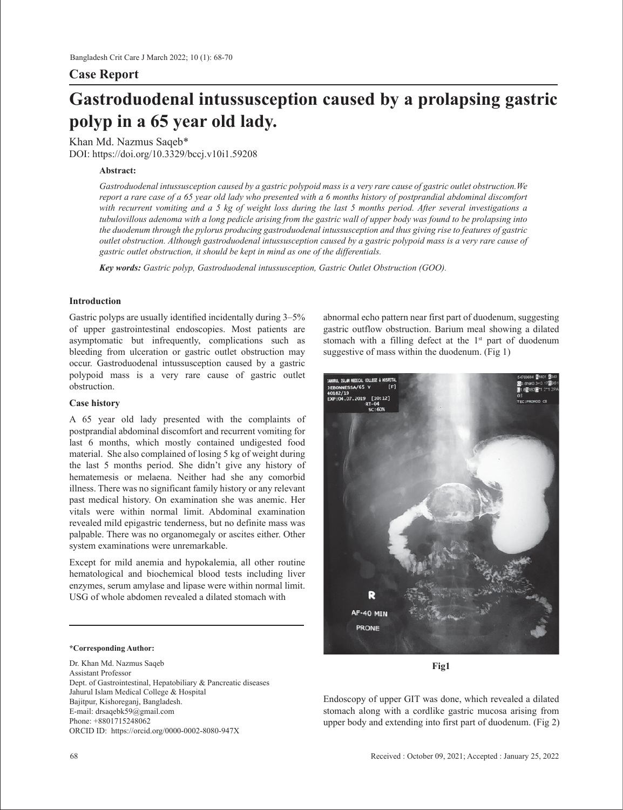## **Case Report**

# **Gastroduodenal intussusception caused by a prolapsing gastric polyp in a 65 year old lady.**

Khan Md. Nazmus Saqeb\* DOI: https://doi.org/10.3329/bccj.v10i1.59208

#### **Abstract:**

*Gastroduodenal intussusception caused by a gastric polypoid mass is a very rare cause of gastric outlet obstruction.We report a rare case of a 65 year old lady who presented with a 6 months history of postprandial abdominal discomfort with recurrent vomiting and a 5 kg of weight loss during the last 5 months period. After several investigations a tubulovillous adenoma with a long pedicle arising from the gastric wall of upper body was found to be prolapsing into the duodenum through the pylorus producing gastroduodenal intussusception and thus giving rise to features of gastric outlet obstruction. Although gastroduodenal intussusception caused by a gastric polypoid mass is a very rare cause of gastric outlet obstruction, it should be kept in mind as one of the differentials.*

*Key words: Gastric polyp, Gastroduodenal intussusception, Gastric Outlet Obstruction (GOO).*

#### **Introduction**

Gastric polyps are usually identified incidentally during 3–5% of upper gastrointestinal endoscopies. Most patients are asymptomatic but infrequently, complications such as bleeding from ulceration or gastric outlet obstruction may occur. Gastroduodenal intussusception caused by a gastric polypoid mass is a very rare cause of gastric outlet obstruction.

### **Case history**

A 65 year old lady presented with the complaints of postprandial abdominal discomfort and recurrent vomiting for last 6 months, which mostly contained undigested food material. She also complained of losing 5 kg of weight during the last 5 months period. She didn't give any history of hematemesis or melaena. Neither had she any comorbid illness. There was no significant family history or any relevant past medical history. On examination she was anemic. Her vitals were within normal limit. Abdominal examination revealed mild epigastric tenderness, but no definite mass was palpable. There was no organomegaly or ascites either. Other system examinations were unremarkable.

Except for mild anemia and hypokalemia, all other routine hematological and biochemical blood tests including liver enzymes, serum amylase and lipase were within normal limit. USG of whole abdomen revealed a dilated stomach with

#### **\*Corresponding Author:**

Dr. Khan Md. Nazmus Saqeb Assistant Professor Dept. of Gastrointestinal, Hepatobiliary & Pancreatic diseases Jahurul Islam Medical College & Hospital Bajitpur, Kishoreganj, Bangladesh. E-mail: drsaqebk59@gmail.com Phone: +8801715248062 ORCID ID: https://orcid.org/0000-0002-8080-947X

abnormal echo pattern near first part of duodenum, suggesting gastric outflow obstruction. Barium meal showing a dilated stomach with a filling defect at the  $1<sup>st</sup>$  part of duodenum suggestive of mass within the duodenum. (Fig 1)



**Fig1**

Endoscopy of upper GIT was done, which revealed a dilated stomach along with a cordlike gastric mucosa arising from upper body and extending into first part of duodenum. (Fig 2)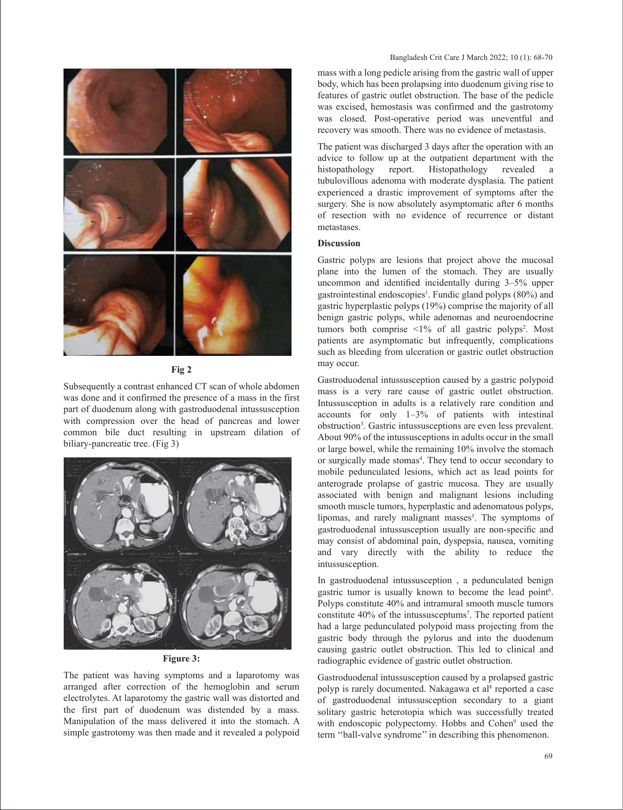

**Fig 2** 

Subsequently a contrast enhanced CT scan of whole abdomen was done and it confirmed the presence of a mass in the first part of duodenum along with gastroduodenal intussusception with compression over the head of pancreas and lower common bile duct resulting in upstream dilation of biliary-pancreatic tree. (Fig 3)



#### **Figure 3:**

The patient was having symptoms and a laparotomy was arranged after correction of the hemoglobin and serum electrolytes. At laparotomy the gastric wall was distorted and the first part of duodenum was distended by a mass. Manipulation of the mass delivered it into the stomach. A simple gastrotomy was then made and it revealed a polypoid

#### Bangladesh Crit Care J March 2022; 10 (1): 68-70

mass with a long pedicle arising from the gastric wall of upper body, which has been prolapsing into duodenum giving rise to features of gastric outlet obstruction. The base of the pedicle was excised, hemostasis was confirmed and the gastrotomy was closed. Post-operative period was uneventful and recovery was smooth. There was no evidence of metastasis.

The patient was discharged 3 days after the operation with an advice to follow up at the outpatient department with the histopathology revealed a Histopathology revealed a tubulovillous adenoma with moderate dysplasia. The patient experienced a drastic improvement of symptoms after the surgery. She is now absolutely asymptomatic after 6 months of resection with no evidence of recurrence or distant metastases.

#### **Discussion**

Gastric polyps are lesions that project above the mucosal plane into the lumen of the stomach. They are usually uncommon and identified incidentally during 3–5% upper gastrointestinal endoscopies<sup>1</sup>. Fundic gland polyps (80%) and gastric hyperplastic polyps (19%) comprise the majority of all benign gastric polyps, while adenomas and neuroendocrine tumors both comprise  $\leq 1\%$  of all gastric polyps<sup>2</sup>. Most patients are asymptomatic but infrequently, complications such as bleeding from ulceration or gastric outlet obstruction may occur.

Gastroduodenal intussusception caused by a gastric polypoid mass is a very rare cause of gastric outlet obstruction. Intussusception in adults is a relatively rare condition and accounts for only 1–3% of patients with intestinal obstruction3 . Gastric intussusceptions are even less prevalent. About 90% of the intussusceptions in adults occur in the small or large bowel, while the remaining 10% involve the stomach or surgically made stomas<sup>4</sup>. They tend to occur secondary to mobile pedunculated lesions, which act as lead points for anterograde prolapse of gastric mucosa. They are usually associated with benign and malignant lesions including smooth muscle tumors, hyperplastic and adenomatous polyps, lipomas, and rarely malignant masses<sup>5</sup>. The symptoms of gastroduodenal intussusception usually are non-specific and may consist of abdominal pain, dyspepsia, nausea, vomiting and vary directly with the ability to reduce the intussusception.

In gastroduodenal intussusception , a pedunculated benign gastric tumor is usually known to become the lead point<sup>6</sup>. Polyps constitute 40% and intramural smooth muscle tumors constitute 40% of the intussusceptums<sup>7</sup>. The reported patient had a large pedunculated polypoid mass projecting from the gastric body through the pylorus and into the duodenum causing gastric outlet obstruction. This led to clinical and radiographic evidence of gastric outlet obstruction.

Gastroduodenal intussusception caused by a prolapsed gastric polyp is rarely documented. Nakagawa et al<sup>8</sup> reported a case of gastroduodenal intussusception secondary to a giant solitary gastric heterotopia which was successfully treated with endoscopic polypectomy. Hobbs and Cohen<sup>9</sup> used the term ''ball-valve syndrome'' in describing this phenomenon.